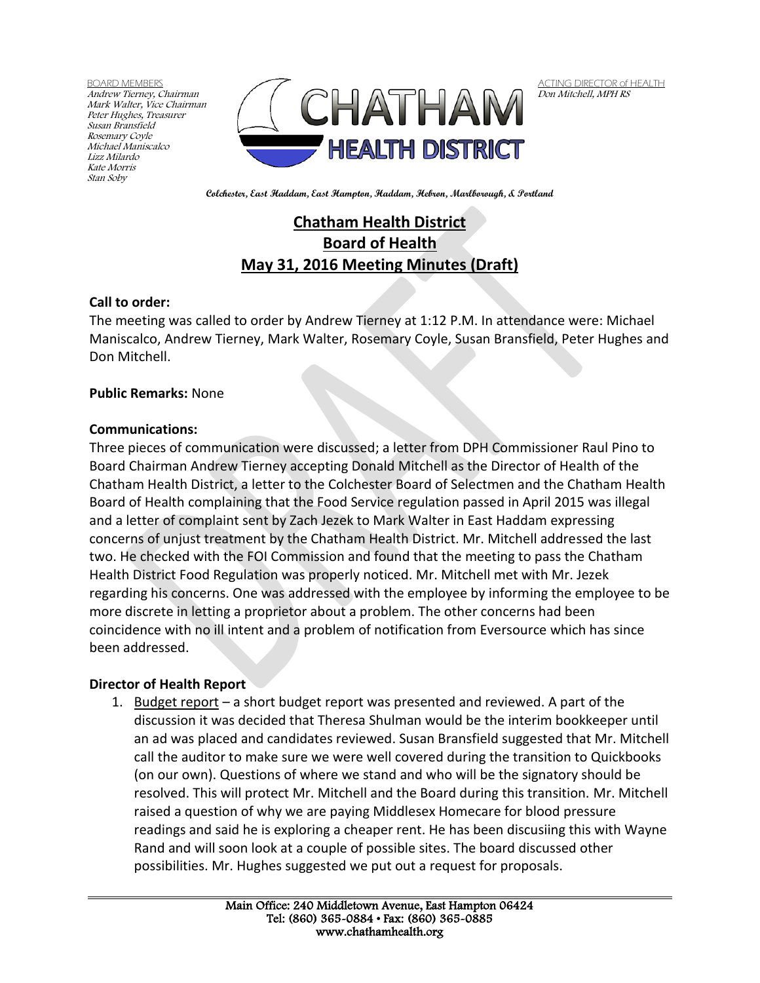BOARD MEMBERS Andrew Tierney, Chairman Mark Walter, Vice Chairman Peter Hughes, Treasurer Susan Bransfield Rosemary Coyle Michael Maniscalco Lizz Milardo Kate Morris Stan Soby



ACTING DIRECTOR of HEALTH Don Mitchell, MPH RS

**Colchester, East Haddam, East Hampton, Haddam, Hebron, Marlborough, & Portland**

# **Chatham Health District Board of Health May 31, 2016 Meeting Minutes (Draft)**

## **Call to order:**

The meeting was called to order by Andrew Tierney at 1:12 P.M. In attendance were: Michael Maniscalco, Andrew Tierney, Mark Walter, Rosemary Coyle, Susan Bransfield, Peter Hughes and Don Mitchell.

### **Public Remarks:** None

### **Communications:**

Three pieces of communication were discussed; a letter from DPH Commissioner Raul Pino to Board Chairman Andrew Tierney accepting Donald Mitchell as the Director of Health of the Chatham Health District, a letter to the Colchester Board of Selectmen and the Chatham Health Board of Health complaining that the Food Service regulation passed in April 2015 was illegal and a letter of complaint sent by Zach Jezek to Mark Walter in East Haddam expressing concerns of unjust treatment by the Chatham Health District. Mr. Mitchell addressed the last two. He checked with the FOI Commission and found that the meeting to pass the Chatham Health District Food Regulation was properly noticed. Mr. Mitchell met with Mr. Jezek regarding his concerns. One was addressed with the employee by informing the employee to be more discrete in letting a proprietor about a problem. The other concerns had been coincidence with no ill intent and a problem of notification from Eversource which has since been addressed.

### **Director of Health Report**

1. Budget report - a short budget report was presented and reviewed. A part of the discussion it was decided that Theresa Shulman would be the interim bookkeeper until an ad was placed and candidates reviewed. Susan Bransfield suggested that Mr. Mitchell call the auditor to make sure we were well covered during the transition to Quickbooks (on our own). Questions of where we stand and who will be the signatory should be resolved. This will protect Mr. Mitchell and the Board during this transition. Mr. Mitchell raised a question of why we are paying Middlesex Homecare for blood pressure readings and said he is exploring a cheaper rent. He has been discusiing this with Wayne Rand and will soon look at a couple of possible sites. The board discussed other possibilities. Mr. Hughes suggested we put out a request for proposals.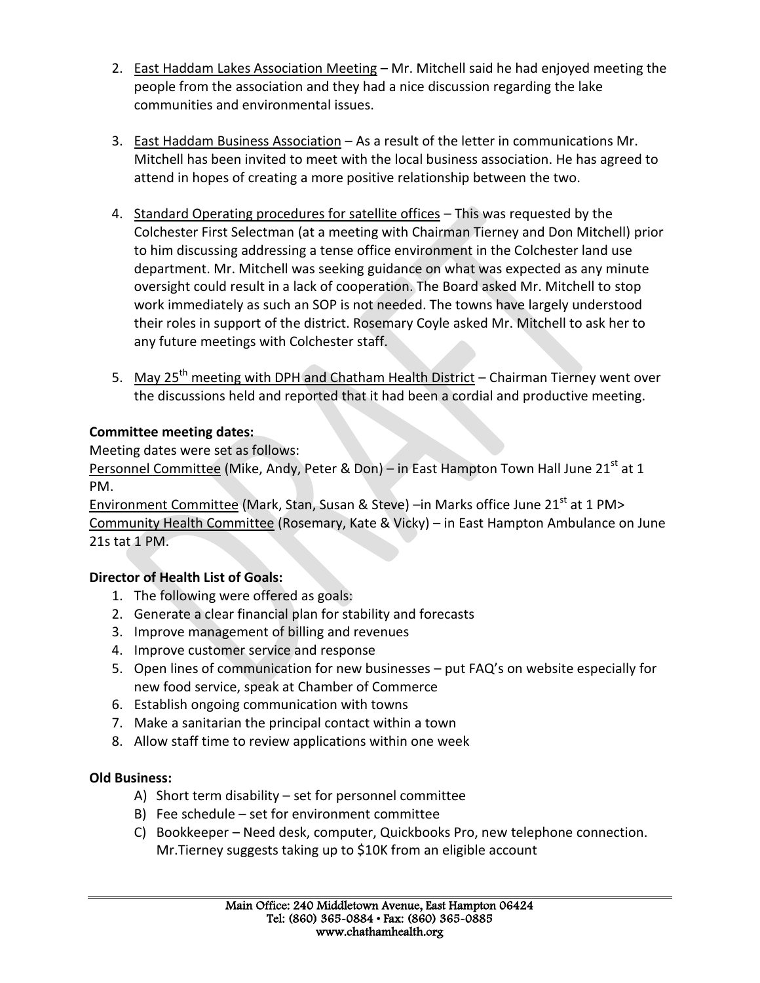- 2. East Haddam Lakes Association Meeting Mr. Mitchell said he had enjoyed meeting the people from the association and they had a nice discussion regarding the lake communities and environmental issues.
- 3. East Haddam Business Association As a result of the letter in communications Mr. Mitchell has been invited to meet with the local business association. He has agreed to attend in hopes of creating a more positive relationship between the two.
- 4. Standard Operating procedures for satellite offices This was requested by the Colchester First Selectman (at a meeting with Chairman Tierney and Don Mitchell) prior to him discussing addressing a tense office environment in the Colchester land use department. Mr. Mitchell was seeking guidance on what was expected as any minute oversight could result in a lack of cooperation. The Board asked Mr. Mitchell to stop work immediately as such an SOP is not needed. The towns have largely understood their roles in support of the district. Rosemary Coyle asked Mr. Mitchell to ask her to any future meetings with Colchester staff.
- 5. May 25<sup>th</sup> meeting with DPH and Chatham Health District Chairman Tierney went over the discussions held and reported that it had been a cordial and productive meeting.

## **Committee meeting dates:**

Meeting dates were set as follows:

Personnel Committee (Mike, Andy, Peter & Don) – in East Hampton Town Hall June 21<sup>st</sup> at 1 PM.

Environment Committee (Mark, Stan, Susan & Steve) –in Marks office June 21<sup>st</sup> at 1 PM> Community Health Committee (Rosemary, Kate & Vicky) – in East Hampton Ambulance on June 21s tat 1 PM.

# **Director of Health List of Goals:**

- 1. The following were offered as goals:
- 2. Generate a clear financial plan for stability and forecasts
- 3. Improve management of billing and revenues
- 4. Improve customer service and response
- 5. Open lines of communication for new businesses put FAQ's on website especially for new food service, speak at Chamber of Commerce
- 6. Establish ongoing communication with towns
- 7. Make a sanitarian the principal contact within a town
- 8. Allow staff time to review applications within one week

# **Old Business:**

- A) Short term disability set for personnel committee
- B) Fee schedule set for environment committee
- C) Bookkeeper Need desk, computer, Quickbooks Pro, new telephone connection. Mr.Tierney suggests taking up to \$10K from an eligible account